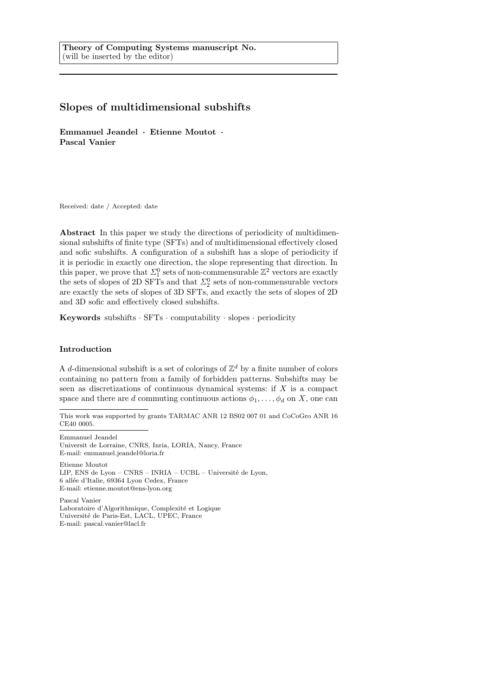# **Slopes of multidimensional subshifts**

**Emmanuel Jeandel** *·* **Etienne Moutot** *·* **Pascal Vanier**

Received: date / Accepted: date

**Abstract** In this paper we study the directions of periodicity of multidimensional subshifts of finite type (SFTs) and of multidimensional effectively closed and sofic subshifts. A configuration of a subshift has a slope of periodicity if it is periodic in exactly one direction, the slope representing that direction. In this paper, we prove that  $\Sigma_1^0$  sets of non-commensurable  $\mathbb{Z}^2$  vectors are exactly the sets of slopes of 2D SFTs and that  $\Sigma^0_2$  sets of non-commensurable vectors are exactly the sets of slopes of 3D SFTs, and exactly the sets of slopes of 2D and 3D sofic and effectively closed subshifts.

**Keywords** subshifts *·* SFTs *·* computability *·* slopes *·* periodicity

## **Introduction**

A *d*-dimensional subshift is a set of colorings of  $\mathbb{Z}^d$  by a finite number of colors containing no pattern from a family of forbidden patterns. Subshifts may be seen as discretizations of continuous dynamical systems: if *X* is a compact space and there are *d* commuting continuous actions  $\phi_1, \ldots, \phi_d$  on *X*, one can

Emmanuel Jeandel Universit de Lorraine, CNRS, Inria, LORIA, Nancy, France E-mail: emmanuel.jeandel@loria.fr

Etienne Moutot LIP, ENS de Lyon – CNRS – INRIA – UCBL – Université de Lyon, 6 allée d'Italie, 69364 Lyon Cedex, France E-mail: etienne.moutot@ens-lyon.org

Pascal Vanier Laboratoire d'Algorithmique, Complexité et Logique Université de Paris-Est, LACL, UPEC, France E-mail: pascal.vanier@lacl.fr

This work was supported by grants TARMAC ANR 12 BS02 007 01 and CoCoGro ANR 16 CE40 0005.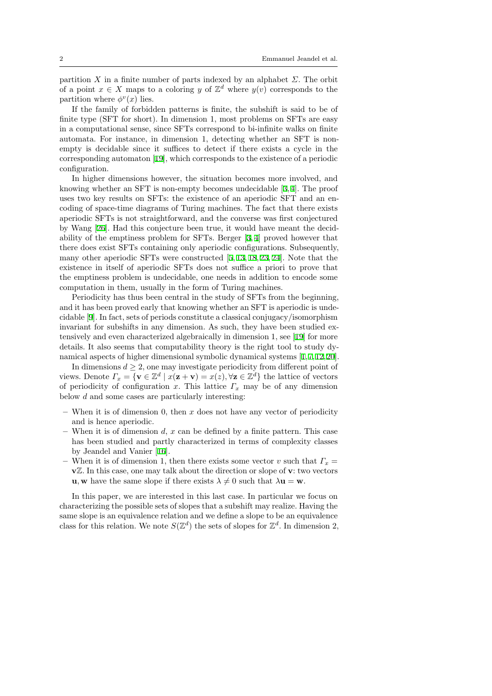partition *X* in a finite number of parts indexed by an alphabet  $\Sigma$ . The orbit of a point  $x \in X$  maps to a coloring *y* of  $\mathbb{Z}^d$  where  $y(v)$  corresponds to the partition where  $\phi^v(x)$  lies.

If the family of forbidden patterns is finite, the subshift is said to be of finite type (SFT for short). In dimension 1, most problems on SFTs are easy in a computational sense, since SFTs correspond to bi-infinite walks on finite automata. For instance, in dimension 1, detecting whether an SFT is nonempty is decidable since it suffices to detect if there exists a cycle in the corresponding automaton [19], which corresponds to the existence of a periodic configuration.

In higher dimensions however, the situation becomes more involved, and knowing whether an SFT is non-empty becomes undecidable [3, 4]. The proof uses two key results on S[FT](#page-24-0)s: the existence of an aperiodic SFT and an encoding of space-time diagrams of Turing machines. The fact that there exists aperiodic SFTs is not straightforward, and the converse was first conjectured by Wang [26]. Had this conjecture been true, it would have [me](#page-23-0)[an](#page-23-1)t the decidability of the emptiness problem for SFTs. Berger [3, 4] proved however that there does exist SFTs containing only aperiodic configurations. Subsequently, many other aperiodic SFTs were constructed [5, 13, 18, 23, 24]. Note that the existence [in](#page-24-1) itself of aperiodic SFTs does not suffice a priori to prove that the emptiness problem is undecidable, one needs in [a](#page-23-0)[dd](#page-23-1)ition to encode some computation in them, usually in the form of Turing machines.

Periodicity has thus been central in the stu[dy](#page-23-2) [of](#page-23-3) [SF](#page-23-4)[Ts f](#page-24-2)[rom](#page-24-3) the beginning, and it has been proved early that knowing whether an SFT is aperiodic is undecidable [9]. In fact, sets of periods constitute a classical conjugacy/isomorphism invariant for subshifts in any dimension. As such, they have been studied extensively and even characterized algebraically in dimension 1, see [19] for more details. It also seems that computability theory is the right tool to study dynamical [a](#page-23-5)spects of higher dimensional symbolic dynamical systems [1,7,12,20].

In dimensions  $d \geq 2$ , one may investigate periodicity from different point of views. Denote  $\Gamma_x = \{ \mathbf{v} \in \mathbb{Z}^d \mid x(\mathbf{z} + \mathbf{v}) = x(z), \forall \mathbf{z} \in \mathbb{Z}^d \}$  the latti[ce o](#page-24-0)f vectors of periodicity of configuration *x*. This lattice  $\Gamma_x$  may be of any dimension below *d* and some cases are particularly interesting:

- **–** When it is of dimension 0, then *x* does not have any vector of periodicity and is hence aperiodic.
- **–** When it is of dimension *d*, *x* can be defined by a finite pattern. This case has been studied and partly characterized in terms of complexity classes by Jeandel and Vanier [16].
- **–** When it is of dimension 1, then there exists some vector *v* such that *Γ<sup>x</sup>* = **v**Z. In this case, one may talk about the direction or slope of **v**: two vectors **u**, **w** have the same slope if there exists  $\lambda \neq 0$  such that  $\lambda \mathbf{u} = \mathbf{w}$ .

In this paper, we are in[tere](#page-23-6)sted in this last case. In particular we focus on characterizing the possible sets of slopes that a subshift may realize. Having the same slope is an equivalence relation and we define a slope to be an equivalence class for this relation. We note  $S(\mathbb{Z}^d)$  the sets of slopes for  $\mathbb{Z}^d$ . In dimension 2,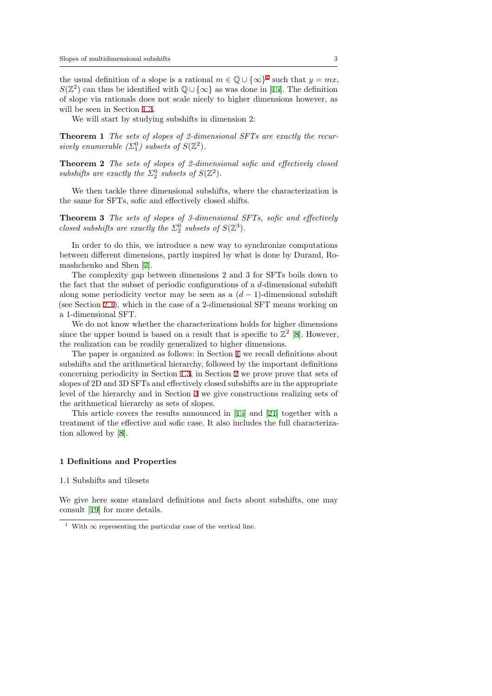the usual definition of a slope is a rational  $m \in \mathbb{Q} \cup \{\infty\}^1$  such that  $y = mx$ , *S*( $\mathbb{Z}^2$ ) can thus be identified with  $\mathbb{Q} \cup {\infty}$  as was done in [15]. The definition of slope via rationals does not scale nicely to higher dimensions however, as will be seen in Section 1.3.

We will start by studying subshifts in dimension 2:

**Theorem 1** *The sets of slopes of 2-dimensional SFTs ar[e ex](#page-23-7)actly the recursively enumerable*  $(\Sigma_1^0)$  *subsets of*  $S(\mathbb{Z}^2)$ *.* 

**Theorem 2** *The sets of slopes of 2-dimensional sofic and effectively closed subshifts are exactly the*  $\Sigma^0_2$  *subsets of*  $S(\mathbb{Z}^2)$ *.* 

<span id="page-2-1"></span>We then tackle three dimensional subshifts, where the characterization is the same for SFTs, sofic and effectively closed shifts.

**Theorem 3** *The sets of slopes of 3-dimensional SFTs, sofic and effectively closed subshifts are exactly the*  $\Sigma^0$  *subsets of*  $S(\mathbb{Z}^3)$ *.* 

<span id="page-2-2"></span>In order to do this, we introduce a new way to synchronize computations between different dimensions, partly inspired by what is done by Durand, Romashchenko and Shen [7].

The complexity gap between dimensions 2 and 3 for SFTs boils down to the fact that the subset of periodic configurations of a *d*-dimensional subshift along some periodicity vector may be seen as a  $(d-1)$ -dimensional subshift (see Section 2.1), which [in](#page-23-8) the case of a 2-dimensional SFT means working on a 1-dimensional SFT.

We do not know whether the characterizations holds for higher dimensions since the upper bound is based on a result that is specific to  $\mathbb{Z}^2$  [8]. However, the realizati[on c](#page-6-0)an be readily generalized to higher dimensions.

The paper is organized as follows: in Section 1 we recall definitions about subshifts and the arithmetical hierarchy, followed by the important definitions concerning periodicity in Section 1.3, in Section 2 we prove prove [t](#page-23-9)hat sets of slopes of 2D and 3D SFTs and effectively closed subshifts are in the appropriate level of the hierarchy and in Section 3 we give c[on](#page-2-0)structions realizing sets of the arithmetical hierarchy as sets of slopes.

This article covers the results [ann](#page-5-0)ounced in [\[1](#page-6-1)5] and [21] together with a treatment of the effective and sofic case. It also includes the full characterization allowed by [8].

#### **1 Definitions and Properties**

#### 1.1 Subshifts and tilesets

<span id="page-2-0"></span>We give here some standard definitions and facts about subshifts, one may consult [19] for more details.

<sup>1</sup> With *<sup>∞</sup>* representing the particular case of the vertical line.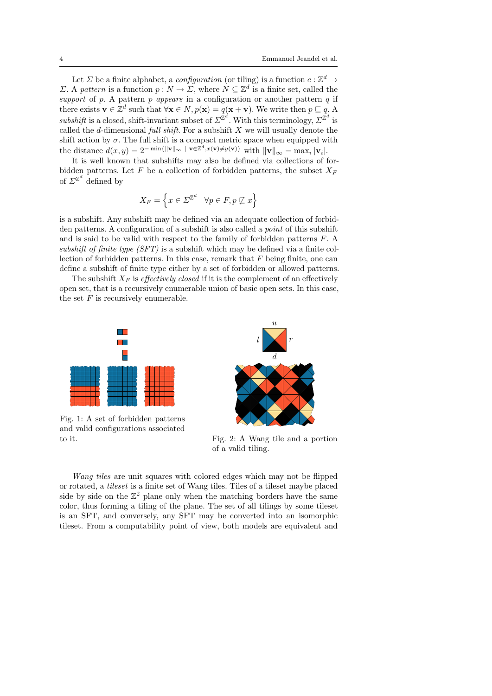Let *Σ* be a finite alphabet, a *configuration* (or tiling) is a function  $c: \mathbb{Z}^d \to$ *Σ*. A *pattern* is a function  $p: N \to \Sigma$ , where  $N \subseteq \mathbb{Z}^d$  is a finite set, called the *support* of  $p$ . A pattern  $p$  *appears* in a configuration or another pattern  $q$  if there exists  $\mathbf{v} \in \mathbb{Z}^d$  such that  $\forall \mathbf{x} \in N$ ,  $p(\mathbf{x}) = q(\mathbf{x} + \mathbf{v})$ . We write then  $p \sqsubseteq q$ . A *subshift* is a closed, shift-invariant subset of  $\mathcal{Z}^{\mathbb{Z}^d}$ . With this terminology,  $\mathcal{Z}^{\mathbb{Z}^d}$  is called the *d*-dimensional *full shift*. For a subshift *X* we will usually denote the shift action by  $\sigma$ . The full shift is a compact metric space when equipped with the distance  $d(x, y) = 2^{-\min\{\|\mathbf{v}\|_{\infty} \ |\ \mathbf{v} \in \mathbb{Z}^d, x(\mathbf{v}) \neq y(\mathbf{v})\}}$  with  $\|\mathbf{v}\|_{\infty} = \max_i |\mathbf{v}_i|$ .

It is well known that subshifts may also be defined via collections of forbidden patterns. Let  $F$  be a collection of forbidden patterns, the subset  $X_F$ of  $\mathcal{Z}^{\mathbb{Z}^d}$  defined by

$$
X_F=\left\{x\in \varSigma^{\mathbb{Z}^d}\mid \forall p\in F, p\not\sqsubseteq x\right\}
$$

is a subshift. Any subshift may be defined via an adequate collection of forbidden patterns. A configuration of a subshift is also called a *point* of this subshift and is said to be valid with respect to the family of forbidden patterns *F*. A *subshift of finite type (SFT)* is a subshift which may be defined via a finite collection of forbidden patterns. In this case, remark that *F* being finite, one can define a subshift of finite type either by a set of forbidden or allowed patterns.

The subshift  $X_F$  is *effectively closed* if it is the complement of an effectively open set, that is a recursively enumerable union of basic open sets. In this case, the set *F* is recursively enumerable.



Fig. 1: A set of forbidden patterns and valid configurations associated to it.



Fig. 2: A Wang tile and a portion of a valid tiling.

*Wang tiles* are unit squares with colored edges which may not be flipped or rotated, a *tileset* is a finite set of Wang tiles. Tiles of a tileset maybe placed side by side on the  $\mathbb{Z}^2$  plane only when the matching borders have the same color, thus forming a tiling of the plane. The set of all tilings by some tileset is an SFT, and conversely, any SFT may be converted into an isomorphic tileset. From a computability point of view, both models are equivalent and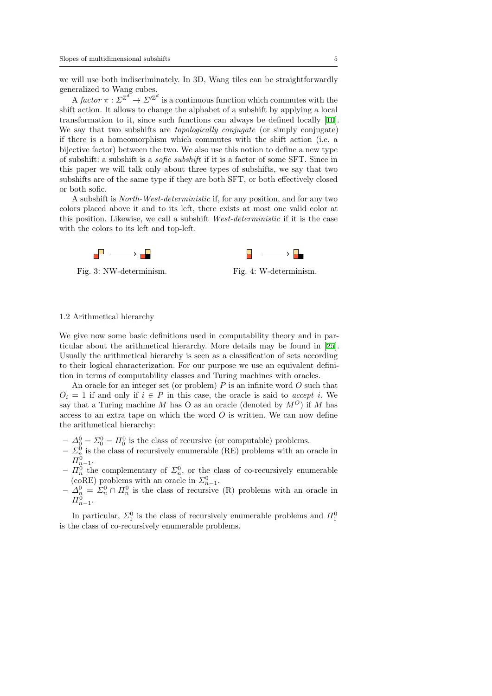we will use both indiscriminately. In 3D, Wang tiles can be straightforwardly generalized to Wang cubes.

A *factor*  $\pi$  :  $\Sigma^{\mathbb{Z}^d} \to \Sigma'^{\mathbb{Z}^d}$  is a continuous function which commutes with the shift action. It allows to change the alphabet of a subshift by applying a local transformation to it, since such functions can always be defined locally [10]. We say that two subshifts are *topologically conjugate* (or simply conjugate) if there is a homeomorphism which commutes with the shift action (i.e. a bijective factor) between the two. We also use this notion to define a new type of subshift: a subshift is a *sofic subshift* if it is a factor of some SFT. Sinc[e in](#page-23-10) this paper we will talk only about three types of subshifts, we say that two subshifts are of the same type if they are both SFT, or both effectively closed or both sofic.

A subshift is *North-West-deterministic* if, for any position, and for any two colors placed above it and to its left, there exists at most one valid color at this position. Likewise, we call a subshift *West-deterministic* if it is the case with the colors to its left and top-left.



Fig. 3: NW-determinism. Fig. 4: W-determinism.

 $\rightarrow$   $\Box$ 

P

#### 1.2 Arithmetical hierarchy

We give now some basic definitions used in computability theory and in particular about the arithmetical hierarchy. More details may be found in [25]. Usually the arithmetical hierarchy is seen as a classification of sets according to their logical characterization. For our purpose we use an equivalent definition in terms of computability classes and Turing machines with oracles.

An oracle for an integer set (or problem) *P* is an infinite word *O* such t[ha](#page-24-4)t  $O_i = 1$  if and only if  $i \in P$  in this case, the oracle is said to *accept i*. We say that a Turing machine *M* has O as an oracle (denoted by  $M^O$ ) if *M* has access to an extra tape on which the word *O* is written. We can now define the arithmetical hierarchy:

- $-\Delta_0^0 = \Sigma_0^0 = \Pi_0^0$  is the class of recursive (or computable) problems.
- $-\sum_{n=0}^{\infty}$  is the class of recursively enumerable (RE) problems with an oracle in  $\Pi_{n-1}^{0}$ .
- $-I_n^0$  the complementary of  $\Sigma_n^0$ , or the class of co-recursively enumerable (coRE) problems with an oracle in  $\Sigma_{n-1}^0$ .
- $\Delta_n^0$  =  $\Sigma_n^0$  ∩  $\Pi_n^0$  is the class of recursive (R) problems with an oracle in  $\Pi_{n-1}^{0}$ .

In particular,  $\Sigma_1^0$  is the class of recursively enumerable problems and  $\Pi_1^0$ is the class of co-recursively enumerable problems.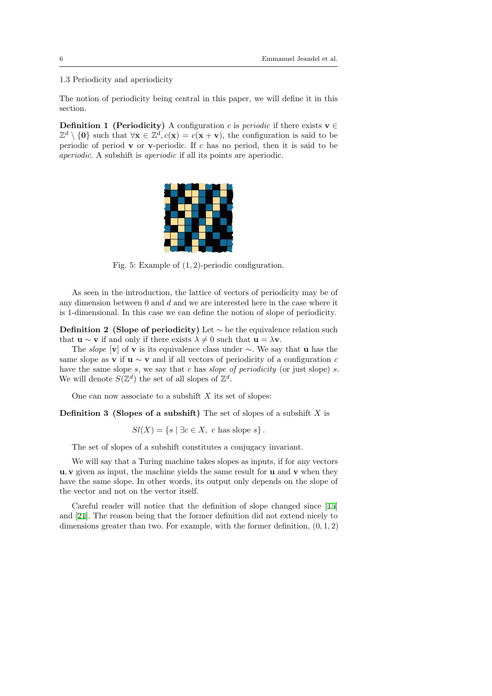#### 1.3 Periodicity and aperiodicity

The notion of periodicity being central in this paper, we will define it in this section.

<span id="page-5-0"></span>**Definition 1 (Periodicity)** A configuration *c* is *periodic* if there exists **v**  $\in$  $\mathbb{Z}^d \setminus \{0\}$  such that  $\forall x \in \mathbb{Z}^d, c(x) = c(x + v)$ , the configuration is said to be periodic of period **v** or **v**-periodic. If *c* has no period, then it is said to be *aperiodic*. A subshift is *aperiodic* if all its points are aperiodic.



Fig. 5: Example of (1*,* 2)-periodic configuration.

As seen in the introduction, the lattice of vectors of periodicity may be of any dimension between 0 and *d* and we are interested here in the case where it is 1-dimensional. In this case we can define the notion of slope of periodicity.

**Definition 2 (Slope of periodicity)** Let *∼* be the equivalence relation such that **u**  $\sim$  **v** if and only if there exists  $\lambda \neq 0$  such that **u** =  $\lambda$ **v**.

The *slope* [**v**] of **v** is its equivalence class under *∼*. We say that **u** has the same slope as **v** if  $\mathbf{u} \sim \mathbf{v}$  and if all vectors of periodicity of a configuration *c* have the same slope *s*, we say that *c* has *slope of periodicity* (or just slope) *s*. We will denote  $S(\mathbb{Z}^d)$  the set of all slopes of  $\mathbb{Z}^d$ .

One can now associate to a subshift *X* its set of slopes:

**Definition 3 (Slopes of a subshift)** The set of slopes of a subshift *X* is

 $Sl(X) = \{s \mid \exists c \in X, c \text{ has slope } s\}.$ 

The set of slopes of a subshift constitutes a conjugacy invariant.

We will say that a Turing machine takes slopes as inputs, if for any vectors **u***,* **v** given as input, the machine yields the same result for **u** and **v** when they have the same slope. In other words, its output only depends on the slope of the vector and not on the vector itself.

Careful reader will notice that the definition of slope changed since [15] and [21]. The reason being that the former definition did not extend nicely to dimensions greater than two. For example, with the former definition, (0*,* 1*,* 2)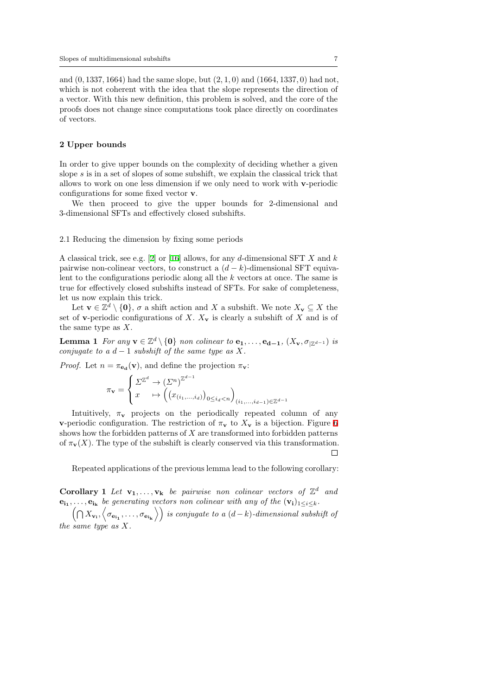and (0*,* 1337*,* 1664) had the same slope, but (2*,* 1*,* 0) and (1664*,* 1337*,* 0) had not, which is not coherent with the idea that the slope represents the direction of a vector. With this new definition, this problem is solved, and the core of the proofs does not change since computations took place directly on coordinates of vectors.

## **2 Upper bounds**

<span id="page-6-1"></span>In order to give upper bounds on the complexity of deciding whether a given slope *s* is in a set of slopes of some subshift, we explain the classical trick that allows to work on one less dimension if we only need to work with **v**-periodic configurations for some fixed vector **v**.

We then proceed to give the upper bounds for 2-dimensional and 3-dimensional SFTs and effectively closed subshifts.

#### 2.1 Reducing the dimension by fixing some periods

<span id="page-6-0"></span>A classical trick, see e.g. [2] or [16] allows, for any *d*-dimensional SFT *X* and *k* pairwise non-colinear vectors, to construct a  $(d-k)$ -dimensional SFT equivalent to the configurations periodic along all the *k* vectors at once. The same is true for effectively closed subshifts instead of SFTs. For sake of completeness, let us now explain this tr[ic](#page-23-11)k.

Let  $\mathbf{v} \in \mathbb{Z}^d \setminus \{\mathbf{0}\}$ ,  $\sigma$  a shift action and X a subshift. We note  $X_{\mathbf{v}} \subseteq X$  the set of **v**-periodic configurations of *X*.  $X_v$  is clearly a subshift of *X* and is of the same type as *X*.

**Lemma 1** For any  $\mathbf{v} \in \mathbb{Z}^d \setminus \{\mathbf{0}\}$  non colinear to  $\mathbf{e_1}, \ldots, \mathbf{e_{d-1}}, (X_{\mathbf{v}}, \sigma_{|\mathbb{Z}^{d-1}})$  is *conjugate to a*  $d-1$  *subshift of the same type as X*.

<span id="page-6-2"></span>*Proof.* Let  $n = \pi_{\mathbf{e}_{\mathbf{d}}}(\mathbf{v})$ , and define the projection  $\pi_{\mathbf{v}}$ :

$$
\pi_{\mathbf{v}} = \left\{ \begin{aligned} \varSigma^{\mathbb{Z}^d} &\rightarrow \left( \varSigma^n \right)^{\mathbb{Z}^{d-1}} \\ x &\mapsto \left( \left( x_{(i_1,\ldots,i_d)} \right)_{0 \leq i_d < n} \right)_{(i_1,\ldots,i_{d-1}) \in \mathbb{Z}^{d-1}} \end{aligned} \right.
$$

Intuitively,  $\pi_v$  projects on the periodically repeated column of any **v**-periodic configuration. The restriction of  $\pi_{\mathbf{v}}$  to  $X_{\mathbf{v}}$  is a bijection. Figure 6 shows how the forbidden patterns of *X* are transformed into forbidden patterns of  $\pi_{\mathbf{v}}(X)$ . The type of the subshift is clearly conserved via this transformation. П

Repeated applications of the previous lemma lead to the following corollar[y:](#page-7-0)

**Corollary 1** Let  $\mathbf{v}_1, \ldots, \mathbf{v}_k$  be pairwise non colinear vectors of  $\mathbb{Z}^d$  and  $\mathbf{e}_{\mathbf{i}_1}, \dots, \mathbf{e}_{\mathbf{i}_k}$ 

...,  $e_{i_k}$  be generating vectors non colinear with any of the  $(v_i)_{1 \leq i \leq k}$ .<br> $(\bigcap X_{v_i}, \bigg\langle \sigma_{e_{i_1}}, \ldots, \sigma_{e_{i_k}} \bigg\rangle)$  is conjugate to a  $(d-k)$ -dimensional subshift of *the same type as X.*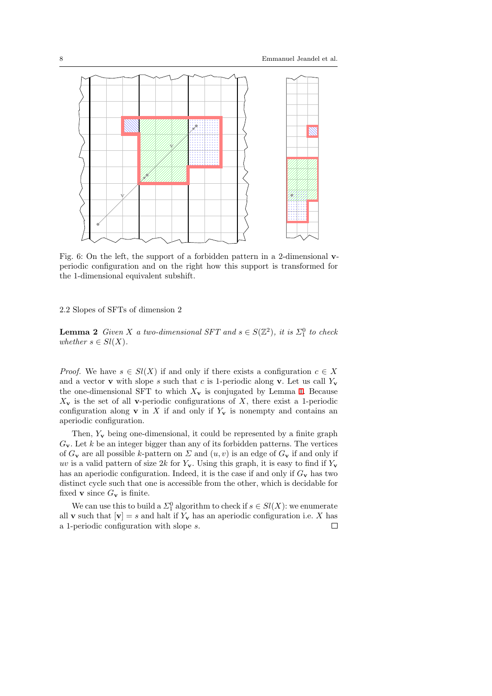<span id="page-7-0"></span>

Fig. 6: On the left, the support of a forbidden pattern in a 2-dimensional **v**periodic configuration and on the right how this support is transformed for the 1-dimensional equivalent subshift.

2.2 Slopes of SFTs of dimension 2

**Lemma 2** *Given X a two-dimensional SFT and*  $s \in S(\mathbb{Z}^2)$ *, it is*  $\Sigma_1^0$  *to check whether*  $s \in Sl(X)$ *.* 

<span id="page-7-1"></span>*Proof.* We have  $s \in Sl(X)$  if and only if there exists a configuration  $c \in X$ and a vector **v** with slope *s* such that *c* is 1-periodic along **v**. Let us call  $Y_{\mathbf{v}}$ the one-dimensional SFT to which  $X_{\mathbf{v}}$  is conjugated by Lemma 1. Because  $X_{\mathbf{v}}$  is the set of all **v**-periodic configurations of *X*, there exist a 1-periodic configuration along  $\bf{v}$  in  $X$  if and only if  $Y_{\bf{v}}$  is nonempty and contains an aperiodic configuration.

Then,  $Y_{\mathbf{v}}$  being one-dimensional, it could be represented by a [fin](#page-6-2)ite graph  $G_{\mathbf{v}}$ . Let *k* be an integer bigger than any of its forbidden patterns. The vertices of  $G_{\mathbf{v}}$  are all possible *k*-pattern on  $\Sigma$  and  $(u, v)$  is an edge of  $G_{\mathbf{v}}$  if and only if *uv* is a valid pattern of size 2*k* for  $Y_{\mathbf{v}}$ . Using this graph, it is easy to find if  $Y_{\mathbf{v}}$ has an aperiodic configuration. Indeed, it is the case if and only if  $G_v$  has two distinct cycle such that one is accessible from the other, which is decidable for fixed **v** since  $G_v$  is finite.

We can use this to build a  $\mathbb{Z}_1^0$  algorithm to check if  $s \in Sl(X)$ : we enumerate all **v** such that  $[\mathbf{v}] = s$  and halt if  $Y_{\mathbf{v}}$  has an aperiodic configuration i.e. *X* has a 1-periodic configuration with slope *s*. $\Box$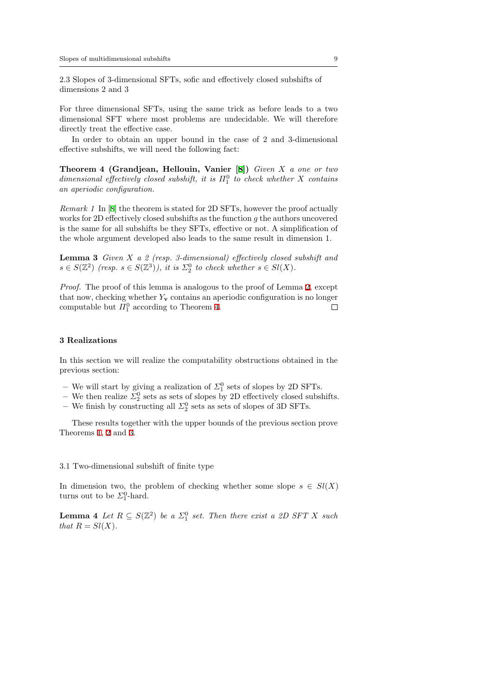2.3 Slopes of 3-dimensional SFTs, sofic and effectively closed subshifts of dimensions 2 and 3

For three dimensional SFTs, using the same trick as before leads to a two dimensional SFT where most problems are undecidable. We will therefore directly treat the effective case.

In order to obtain an upper bound in the case of 2 and 3-dimensional effective subshifts, we will need the following fact:

**Theorem 4 (Grandjean, Hellouin, Vanier [8])** *Given X a one or two*  $dimensional$  *effectively closed subshift, it is*  $\Pi_1^0$  *to check whether*  $X$  *contains an aperiodic configuration.*

*Remark 1* In [8] the theorem is stated for 2D SFT[s,](#page-23-9) however the proof actually works for 2D effectively closed subshifts as the function *g* the authors uncovered is the same for all subshifts be they SFTs, effective or not. A simplification of the whole argument developed also leads to the same result in dimension 1.

**Lemma 3** *Given X a 2 (resp. 3-dimensional) effectively closed subshift and*  $s \in S(\mathbb{Z}^2)$  (resp.  $s \in S(\mathbb{Z}^3)$ ), it is  $\Sigma_2^0$  to check whether  $s \in Sl(X)$ .

<span id="page-8-1"></span>*Proof.* The proof of this lemma is analogous to the proof of Lemma 2, except that now, checking whether  $Y_{\mathbf{v}}$  contains an aperiodic configuration is no longer computable but  $\Pi_1^0$  according to Theorem 4. П

#### **3 Realizations**

In this section we will realize the computability obstructions obtained in the previous section:

- $-$  We will start by giving a realization of  $\Sigma_1^0$  sets of slopes by 2D SFTs.
- $-$  We then realize  $\Sigma^0_2$  sets as sets of slopes by 2D effectively closed subshifts.
- $-$  We finish by constructing all  $\Sigma^0_2$  sets as sets of slopes of 3D SFTs.

These results together with the upper bounds of the previous section prove Theorems 1, 2 and 3.

3.1 Two-dimensional subshift of finite type

In dimension two, the problem of checking whether some slope  $s \in Sl(X)$ turns out to be  $\Sigma_1^0$ -hard.

<span id="page-8-0"></span>**Lemma 4** *Let*  $R \subseteq S(\mathbb{Z}^2)$  *be a*  $\Sigma_1^0$  *set. Then there exist a 2D SFT X such that*  $R = Sl(X)$ *.*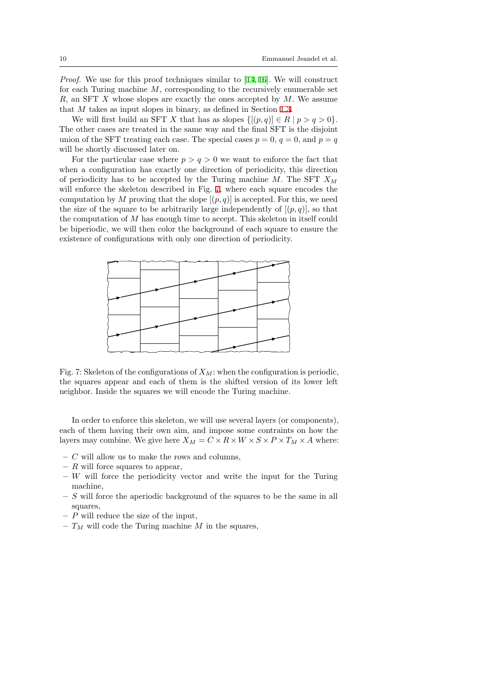*Proof.* We use for this proof techniques similar to [14, 16]. We will construct for each Turing machine *M*, corresponding to the recursively enumerable set *R*, an SFT *X* whose slopes are exactly the ones accepted by *M*. We assume that *M* takes as input slopes in binary, as defined in Section 1.3.

We will first build an SFT X that has as slopes  $\{[(p,q)] \in R \mid p > q > 0\}$  $\{[(p,q)] \in R \mid p > q > 0\}$  $\{[(p,q)] \in R \mid p > q > 0\}$ . The other cases are treated in the same way and the final SFT is the disjoint union of the SFT treating each case. The special cases  $p = 0$ ,  $q = 0$ , and  $p = q$ will be shortly discussed later on.

For the particular case where  $p > q > 0$  we want to enforce the fact that when a configuration has exactly one direction of periodicity, this direction of periodicity has to be accepted by the Turing machine *M*. The SFT *X<sup>M</sup>* will enforce the skeleton described in Fig. 7, where each square encodes the computation by *M* proving that the slope  $[(p, q)]$  is accepted. For this, we need the size of the square to be arbitrarily large independently of  $[(p, q)]$ , so that the computation of *M* has enough time to accept. This skeleton in itself could be biperiodic, we will then color the backg[ro](#page-9-0)und of each square to ensure the existence of configurations with only one direction of periodicity.

<span id="page-9-0"></span>

Fig. 7: Skeleton of the configurations of  $X_M$ : when the configuration is periodic, the squares appear and each of them is the shifted version of its lower left neighbor. Inside the squares we will encode the Turing machine.

In order to enforce this skeleton, we will use several layers (or components), each of them having their own aim, and impose some contraints on how the layers may combine. We give here  $X_M = C \times R \times W \times S \times P \times T_M \times A$  where:

- **–** *C* will allow us to make the rows and columns,
- **–** *R* will force squares to appear,
- **–** *W* will force the periodicity vector and write the input for the Turing machine,
- **–** *S* will force the aperiodic background of the squares to be the same in all squares,
- **–** *P* will reduce the size of the input,
- **–** *T<sup>M</sup>* will code the Turing machine *M* in the squares,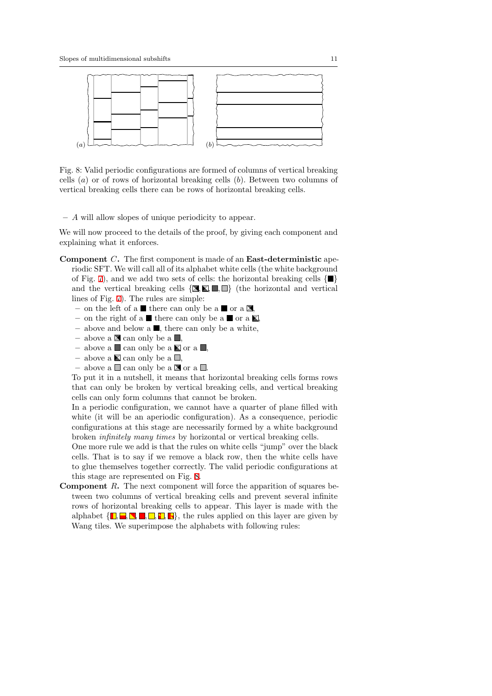<span id="page-10-0"></span>

Fig. 8: Valid periodic configurations are formed of columns of vertical breaking cells (*a*) or of rows of horizontal breaking cells (*b*). Between two columns of vertical breaking cells there can be rows of horizontal breaking cells.

**–** *A* will allow slopes of unique periodicity to appear.

We will now proceed to the details of the proof, by giving each component and explaining what it enforces.

- **Component** *C***.** The first component is made of an **East-deterministic** aperiodic SFT. We will call all of its alphabet white cells (the white background of Fig. 7), and we add two sets of cells: the horizontal breaking cells  $\{\blacksquare\}$ and the vertical breaking cells  $\{ \mathbb{X}, \mathbb{K}, \mathbb{I}, \mathbb{I} \}$  (the horizontal and vertical lines of Fig. 7). The rules are simple:
	- on the left of a **there** can only be a **o** or a  $\overline{\mathbf{X}}$ ,
	- on [th](#page-9-0)e right of a **there** can only be a **n** or a  $\blacksquare$ .
	- above and below a  $\blacksquare$ , there can only be a white,
	- above a  $\blacksquare$  can only be a  $\blacksquare$ ,
	- above a  $\blacksquare$  can only be a  $\blacksquare$  or a  $\blacksquare$ ,
	- above a  $\blacksquare$  can only be a  $\blacksquare$ ,
	- above a  $\Box$  can only be a  $\boxtimes$  or a  $\Box$ .

To put it in a nutshell, it means that horizontal breaking cells forms rows that can only be broken by vertical breaking cells, and vertical breaking cells can only form columns that cannot be broken.

In a periodic configuration, we cannot have a quarter of plane filled with white (it will be an aperiodic configuration). As a consequence, periodic configurations at this stage are necessarily formed by a white background broken *infinitely many times* by horizontal or vertical breaking cells.

One more rule we add is that the rules on white cells "jump" over the black cells. That is to say if we remove a black row, then the white cells have to glue themselves together correctly. The valid periodic configurations at this stage are represented on Fig. 8.

**Component** *R***.** The next component will force the apparition of squares between two columns of vertical breaking cells and prevent several infinite rows of horizontal breaking cells to appear. This layer is made with the alphabet *{ , , , , , , }*, the [r](#page-10-0)ules applied on this layer are given by Wang tiles. We superimpose the alphabets with following rules: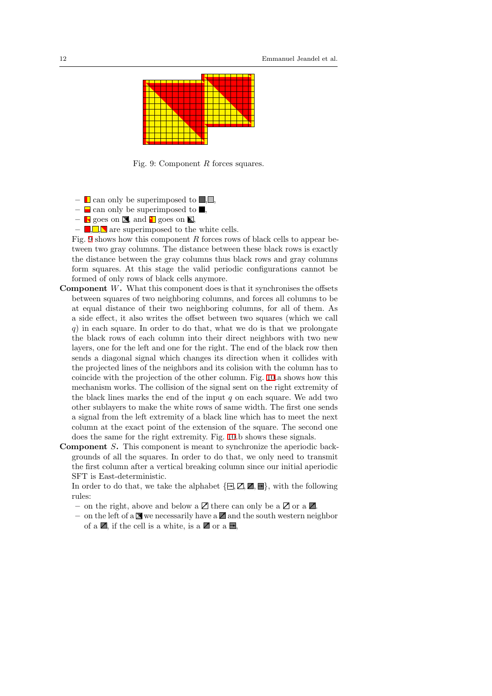

Fig. 9: Component *R* forces squares.

- <span id="page-11-0"></span>–  $\blacksquare$  can only be superimposed to  $\blacksquare$ ,  $\blacksquare$ ,
- $\blacksquare$  can only be superimposed to  $\blacksquare$ ,
- $-$  **b** goes on  $\mathbb{Z}$ , and **l** goes on  $\mathbb{Z}$ ,

 $\blacksquare$ ,  $\blacksquare$  are superimposed to the white cells.

Fig. 9 shows how this component *R* forces rows of black cells to appear between two gray columns. The distance between these black rows is exactly the distance between the gray columns thus black rows and gray columns form squares. At this stage the valid periodic configurations cannot be for[med](#page-11-0) of only rows of black cells anymore.

- **Component** *W***.** What this component does is that it synchronises the offsets between squares of two neighboring columns, and forces all columns to be at equal distance of their two neighboring columns, for all of them. As a side effect, it also writes the offset between two squares (which we call *q*) in each square. In order to do that, what we do is that we prolongate the black rows of each column into their direct neighbors with two new layers, one for the left and one for the right. The end of the black row then sends a diagonal signal which changes its direction when it collides with the projected lines of the neighbors and its colision with the column has to coincide with the projection of the other column. Fig. 10.a shows how this mechanism works. The collision of the signal sent on the right extremity of the black lines marks the end of the input *q* on each square. We add two other sublayers to make the white rows of same width. The first one sends a signal from the left extremity of a black line which [has](#page-12-0) to meet the next column at the exact point of the extension of the square. The second one does the same for the right extremity. Fig. 10.b shows these signals.
- **Component** *S***.** This component is meant to synchronize the aperiodic backgrounds of all the squares. In order to do that, we only need to transmit the first column after a vertical breaking column since our initial aperiodic SFT is East-deterministic.

In order to do that, we take the alphabet  $\{\exists, \forall \exists, \exists\}$ , with the following rules:

- on the right, above and below a  $\mathbb Z$  there can only be a  $\mathbb Z$  or a  $\mathbb Z$ .
- on the left of a  $\blacksquare$  we necessarily have a  $\blacksquare$  and the south western neighbor of a  $\mathbb Z$ , if the cell is a white, is a  $\mathbb Z$  or a  $\mathbb H$ ,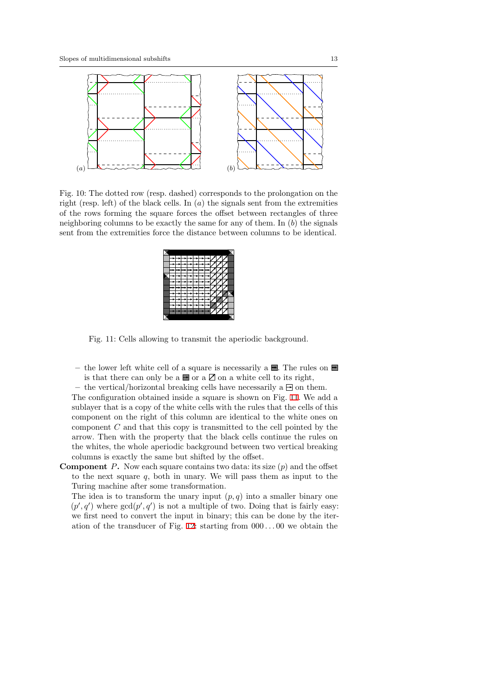<span id="page-12-0"></span>

Fig. 10: The dotted row (resp. dashed) corresponds to the prolongation on the right (resp. left) of the black cells. In (*a*) the signals sent from the extremities of the rows forming the square forces the offset between rectangles of three neighboring columns to be exactly the same for any of them. In (*b*) the signals sent from the extremities force the distance between columns to be identical.

<span id="page-12-1"></span>Fig. 11: Cells allowing to transmit the aperiodic background.

– the lower left white cell of a square is necessarily a  $\blacksquare$ . The rules on  $\blacksquare$ is that there can only be a  $\blacksquare$  or a  $\emptyset$  on a white cell to its right,

– the vertical/horizontal breaking cells have necessarily a  $\Xi$  on them. The configuration obtained inside a square is shown on Fig. 11. We add a sublayer that is a copy of the white cells with the rules that the cells of this component on the right of this column are identical to the white ones on component *C* and that this copy is transmitted to the cell pointed by the arrow. Then with the property that the black cells continu[e th](#page-12-1)e rules on the whites, the whole aperiodic background between two vertical breaking columns is exactly the same but shifted by the offset.

**Component** *P***.** Now each square contains two data: its size (*p*) and the offset to the next square *q*, both in unary. We will pass them as input to the Turing machine after some transformation.

The idea is to transform the unary input  $(p, q)$  into a smaller binary one  $(p', q')$  where  $gcd(p', q')$  is not a multiple of two. Doing that is fairly easy: we first need to convert the input in binary; this can be done by the iteration of the transducer of Fig. 12: starting from 000 *. . .* 00 we obtain the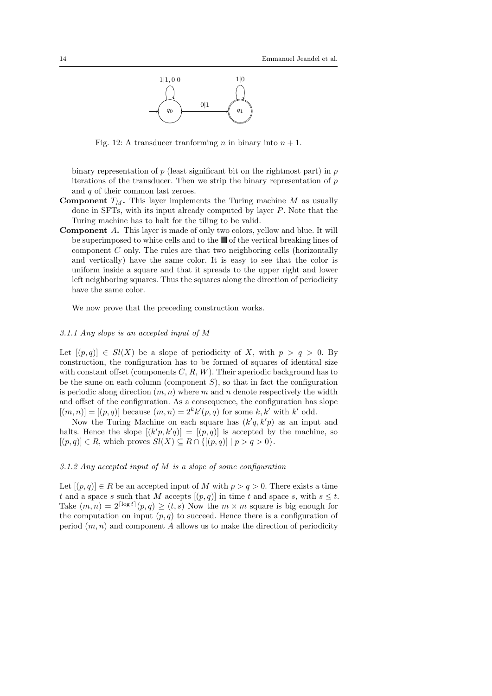

Fig. 12: A transducer tranforming *n* in binary into  $n + 1$ .

binary representation of *p* (least significant bit on the rightmost part) in *p* iterations of the transducer. Then we strip the binary representation of *p* and *q* of their common last zeroes.

- **Component**  $T_M$ . This layer implements the Turing machine *M* as usually done in SFTs, with its input already computed by layer *P*. Note that the Turing machine has to halt for the tiling to be valid.
- **Component** *A***.** This layer is made of only two colors, yellow and blue. It will be superimposed to white cells and to the  $\blacksquare$  of the vertical breaking lines of component *C* only. The rules are that two neighboring cells (horizontally and vertically) have the same color. It is easy to see that the color is uniform inside a square and that it spreads to the upper right and lower left neighboring squares. Thus the squares along the direction of periodicity have the same color.

We now prove that the preceding construction works.

### *3.1.1 Any slope is an accepted input of M*

Let  $[(p,q)] \in Sl(X)$  be a slope of periodicity of X, with  $p > q > 0$ . By construction, the configuration has to be formed of squares of identical size with constant offset (components *C*, *R*, *W*). Their aperiodic background has to be the same on each column (component *S*), so that in fact the configuration is periodic along direction  $(m, n)$  where  $m$  and  $n$  denote respectively the width and offset of the configuration. As a consequence, the configuration has slope  $[(m, n)] = [(p, q)]$  because  $(m, n) = 2^k k'(p, q)$  for some *k, k'* with *k'* odd.

Now the Turing Machine on each square has  $(k'q, k'p)$  as an input and halts. Hence the slope  $[(k'p, k'q)] = [(p, q)]$  is accepted by the machine, so  $[(p, q)] \in R$ , which proves  $Sl(X) ⊆ R ∩ {[(p, q)] | p > q > 0}.$ 

## *3.1.2 Any accepted input of M is a slope of some configuration*

Let  $[(p,q)] \in R$  be an accepted input of *M* with  $p > q > 0$ . There exists a time *t* and a space *s* such that *M* accepts  $[(p,q)]$  in time *t* and space *s*, with  $s \leq t$ . Take  $(m, n) = 2^{\lceil \log t \rceil} (p, q) \ge (t, s)$  Now the  $m \times m$  square is big enough for the computation on input  $(p, q)$  to succeed. Hence there is a configuration of period  $(m, n)$  and component A allows us to make the direction of periodicity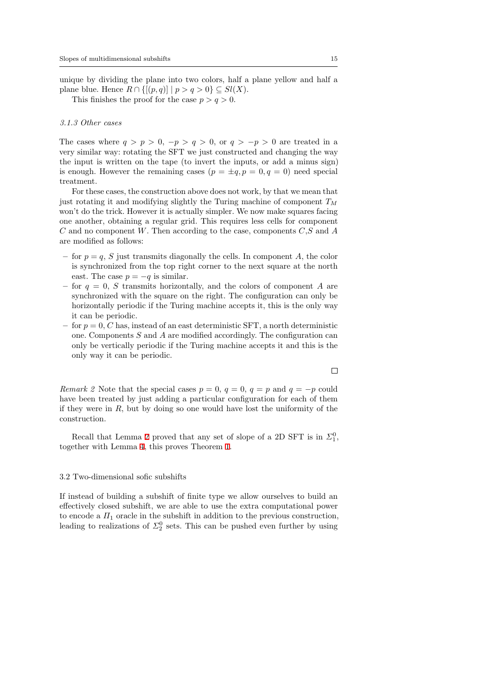unique by dividing the plane into two colors, half a plane yellow and half a plane blue. Hence  $R \cap \{[(p,q)] \mid p > q > 0\} \subseteq Sl(X)$ .

This finishes the proof for the case  $p > q > 0$ .

#### *3.1.3 Other cases*

The cases where  $q > p > 0$ ,  $-p > q > 0$ , or  $q > -p > 0$  are treated in a very similar way: rotating the SFT we just constructed and changing the way the input is written on the tape (to invert the inputs, or add a minus sign) is enough. However the remaining cases  $(p = \pm q, p = 0, q = 0)$  need special treatment.

For these cases, the construction above does not work, by that we mean that just rotating it and modifying slightly the Turing machine of component *T<sup>M</sup>* won't do the trick. However it is actually simpler. We now make squares facing one another, obtaining a regular grid. This requires less cells for component *C* and no component *W*. Then according to the case, components *C*,*S* and *A* are modified as follows:

- for  $p = q$ , *S* just transmits diagonally the cells. In component *A*, the color is synchronized from the top right corner to the next square at the north east. The case  $p = -q$  is similar.
- **–** for *q* = 0, *S* transmits horizontally, and the colors of component *A* are synchronized with the square on the right. The configuration can only be horizontally periodic if the Turing machine accepts it, this is the only way it can be periodic.
- **–** for *p* = 0, *C* has, instead of an east deterministic SFT, a north deterministic one. Components *S* and *A* are modified accordingly. The configuration can only be vertically periodic if the Turing machine accepts it and this is the only way it can be periodic.

*Remark 2* Note that the special cases  $p = 0$ ,  $q = 0$ ,  $q = p$  and  $q = -p$  could have been treated by just adding a particular configuration for each of them if they were in *R*, but by doing so one would have lost the uniformity of the construction.

Recall that Lemma 2 proved that any set of slope of a 2D SFT is in  $\Sigma_1^0$ , together with Lemma 4, this proves Theorem 1.

#### 3.2 Two-dimensional so[fic](#page-7-1) subshifts

If instead of building a subshift of finite type we allow ourselves to build an effectively closed subshift, we are able to use the extra computational power to encode a  $\Pi_1$  oracle in the subshift in addition to the previous construction, leading to realizations of  $\Sigma_2^0$  sets. This can be pushed even further by using

 $\Box$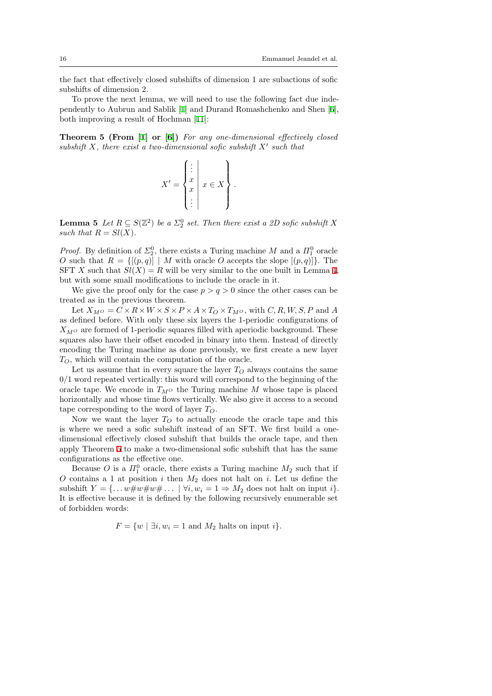the fact that effectively closed subshifts of dimension 1 are subactions of sofic subshifts of dimension 2.

To prove the next lemma, we will need to use the following fact due independently to Aubrun and Sablik [1] and Durand Romashchenko and Shen [6], both improving a result of Hochman [11]:

<span id="page-15-0"></span>**Theorem 5 (From [1] or [6])** *For any one-dimensional effectively closed subshift X, there exist a two-dim[en](#page-23-13)sional sofic subshift X′ such that*

$$
X' = \begin{cases} \begin{array}{c} \vdots \\ x \\ x \end{array} \end{array} \begin{array}{c} \begin{array}{c} \vdots \\ x \end{array} \end{array} \begin{array}{c} \begin{array}{c} \cdot \\ \cdot \end{array} \end{array} \begin{array}{c} \end{array} \begin{array}{c} \cdot \\ \cdot \end{array} \begin{array}{c} \cdot \\ \cdot \end{array} \end{array}
$$

**Lemma 5** *Let*  $R \subseteq S(\mathbb{Z}^2)$  *be a*  $\Sigma^0_2$  *set. Then there exist a 2D sofic subshift*  $X$ *such that*  $R = Sl(X)$ .

<span id="page-15-1"></span>*Proof.* By definition of  $\Sigma_2^0$ , there exists a Turing machine *M* and a  $\Pi_1^0$  oracle *O* such that  $R = \{[(p,q)] \mid M \text{ with oracle } O \text{ accepts the slope } [(p,q)]\}.$  The SFT *X* such that  $Sl(X) = R$  will be very similar to the one built in Lemma 4, but with some small modifications to include the oracle in it.

We give the proof only for the case  $p > q > 0$  since the other cases can be treated as in the previous theorem.

Let  $X_{M}$  $\circ$  =  $C \times R \times W \times S \times P \times A \times T_O \times T_{M}$  $C \times R \times W \times S \times P \times A \times T_O \times T_{M}$  $C \times R \times W \times S \times P \times A \times T_O \times T_{M}$ , with  $C, R, W, S, P$  and  $A$ as defined before. With only these six layers the 1-periodic configurations of *XM<sup>O</sup>* are formed of 1-periodic squares filled with aperiodic background. These squares also have their offset encoded in binary into them. Instead of directly encoding the Turing machine as done previously, we first create a new layer *TO*, which will contain the computation of the oracle.

Let us assume that in every square the layer  $T<sub>O</sub>$  always contains the same  $0/1$  word repeated vertically: this word will correspond to the beginning of the oracle tape. We encode in  $T_M$ <sup>o</sup> the Turing machine M whose tape is placed horizontally and whose time flows vertically. We also give it access to a second tape corresponding to the word of layer *TO*.

Now we want the layer  $T<sub>O</sub>$  to actually encode the oracle tape and this is where we need a sofic subshift instead of an SFT. We first build a onedimensional effectively closed subshift that builds the oracle tape, and then apply Theorem 5 to make a two-dimensional sofic subshift that has the same configurations as the effective one.

Because *O* is a  $\Pi_1^0$  oracle, there exists a Turing machine  $M_2$  such that if *O* contains a 1 at position *i* then *M*<sup>2</sup> does not halt on *i*. Let us define the subshift  $Y = \{ \ldots w \# w \# w \# \ldots \mid \forall i, w_i = 1 \Rightarrow M_2 \text{ does not halt on input } i \}.$ It is effective because it is defined by the following recursively enumerable set of forbidden words:

$$
F = \{w \mid \exists i, w_i = 1 \text{ and } M_2 \text{ halts on input } i\}.
$$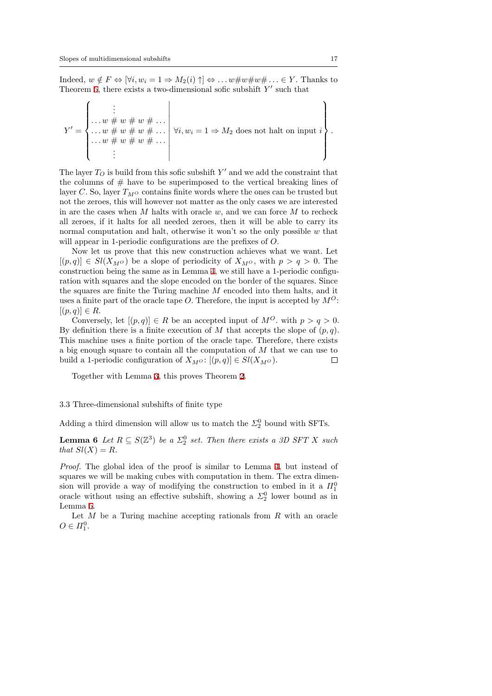Indeed,  $w \notin F \Leftrightarrow [\forall i, w_i = 1 \Rightarrow M_2(i) \uparrow] \Leftrightarrow \dots w \# w \# w \# \dots \in Y$ . Thanks to Theorem 5, there exists a two-dimensional sofic subshift *Y ′* such that

$$
Y' = \begin{cases} \begin{array}{c} \vdots \\ \ldots w \# w \# w \# \ldots \\ \ldots w \# w \# w \# \ldots \end{array} \\ \begin{array}{c} \vdots \\ \vdots \end{array} \\ \begin{array}{c} \vdots \\ \vdots \end{array} \end{cases} \forall i, w_i = 1 \Rightarrow M_2 \text{ does not halt on input } i \\ \begin{array}{c} \vdots \\ \vdots \end{array} \end{cases}.
$$

The layer  $T_O$  is build from this sofic subshift  $Y'$  and we add the constraint that the columns of  $#$  have to be superimposed to the vertical breaking lines of layer *C*. So, layer  $T_{M}$ <sup>o</sup> contains finite words where the ones can be trusted but not the zeroes, this will however not matter as the only cases we are interested in are the cases when *M* halts with oracle *w*, and we can force *M* to recheck all zeroes, if it halts for all needed zeroes, then it will be able to carry its normal computation and halt, otherwise it won't so the only possible *w* that will appear in 1-periodic configurations are the prefixes of *O*.

Now let us prove that this new construction achieves what we want. Let  $[(p,q)] \in Sl(X_{M^{\circ}})$  be a slope of periodicity of  $X_{M^{\circ}}$ , with  $p > q > 0$ . The construction being the same as in Lemma 4, we still have a 1-periodic configuration with squares and the slope encoded on the border of the squares. Since the squares are finite the Turing machine *M* encoded into them halts, and it uses a finite part of the oracle tape *O*. Therefore, the input is accepted by *M<sup>O</sup>*:  $[(p, q)] \in R$ .

Conversely, let  $[(p,q)] \in R$  be an accepted input of  $M^O$ , with  $p > q > 0$ . By definition there is a finite execution of  $M$  that accepts the slope of  $(p, q)$ . This machine uses a finite portion of the oracle tape. Therefore, there exists a big enough square to contain all the computation of *M* that we can use to build a 1-periodic configuration of  $X_{M^O}: [(p,q)] \in Sl(X_{M^O})$ .  $\Box$ 

Together with Lemma 3, this proves Theorem 2.

#### 3.3 Three-dimensional subshifts of finite type

Adding a third dimension [w](#page-8-1)ill allow us to match [th](#page-2-1)e  $\mathcal{Z}_2^0$  bound with SFTs.

**Lemma 6** *Let*  $R \subseteq S(\mathbb{Z}^3)$  *be a*  $\Sigma^0$  *set. Then there exists a 3D SFT X such that*  $Sl(X) = R$ *.* 

*Proof.* The global idea of the proof is similar to Lemma 4, but instead of squares we will be making cubes with computation in them. The extra dimension will provide a way of modifying the construction to embed in it a  $\Pi_1^0$ oracle without using an effective subshift, showing a  $\Sigma_2^0$  lower bound as in Lemma 5.

Let *M* be a Turing machine accepting rationals from *R* with an oracle  $O \in \Pi_1^0$ .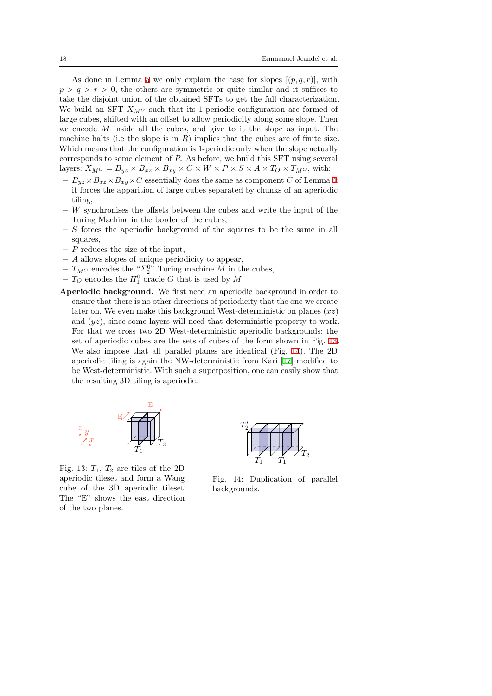As done in Lemma 5 we only explain the case for slopes  $[(p, q, r)]$ , with  $p > q > r > 0$ , the others are symmetric or quite similar and it suffices to take the disjoint union of the obtained SFTs to get the full characterization. We build an SFT *XM<sup>O</sup>* such that its 1-periodic configuration are formed of large cubes, shifted wit[h a](#page-15-1)n offset to allow periodicity along some slope. Then we encode *M* inside all the cubes, and give to it the slope as input. The machine halts (i.e the slope is in  $R$ ) implies that the cubes are of finite size. Which means that the configuration is 1-periodic only when the slope actually corresponds to some element of *R*. As before, we build this SFT using several layers:  $X_{M^O} = B_{yz} \times B_{xz} \times B_{xy} \times C \times W \times P \times S \times A \times T_O \times T_{M^O}$ , with:

- $B_{yz} \times B_{xz} \times B_{xy} \times C$  essentially does the same as component *C* of Lemma 4: it forces the apparition of large cubes separated by chunks of an aperiodic tiling,
- **–** *W* synchronises the offsets between the cubes and write the input of the Turing Machine in the border of the cubes,
- **–** *S* forces the aperiodic background of the squares to be the same in all squares,
- **–** *P* reduces the size of the input,
- **–** *A* allows slopes of unique periodicity to appear,
- $T_M$ <sup>o</sup> encodes the " $\Sigma_2^{0}$ " Turing machine *M* in the cubes,
- $T_O$  encodes the  $\Pi_1^0$  oracle *O* that is used by *M*.
- **Aperiodic background.** We first need an aperiodic background in order to ensure that there is no other directions of periodicity that the one we create later on. We even make this background West-deterministic on planes (*xz*) and (*yz*), since some layers will need that deterministic property to work. For that we cross two 2D West-deterministic aperiodic backgrounds: the set of aperiodic cubes are the sets of cubes of the form shown in Fig. 13. We also impose that all parallel planes are identical (Fig. 14). The 2D aperiodic tiling is again the NW-deterministic from Kari [17] modified to be West-deterministic. With such a superposition, one can easily show that the resulting 3D tiling is aperiodic.



Fig. 13:  $T_1$ ,  $T_2$  are tiles of the 2D aperiodic tileset and form a Wang cube of the 3D aperiodic tileset. The "E" shows the east direction of the two planes.



Fig. 14: Duplication of parallel backgrounds.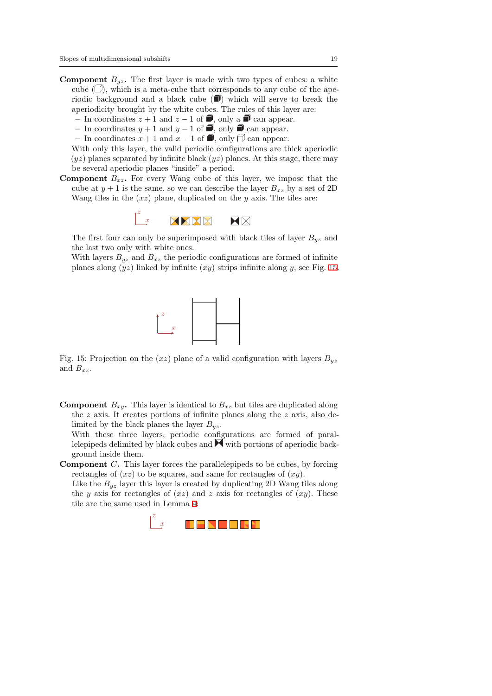- **Component**  $B_{yz}$ . The first layer is made with two types of cubes: a white cube  $(\Box)$ , which is a meta-cube that corresponds to any cube of the aperiodic background and a black cube  $(\blacksquare)$  which will serve to break the aperiodicity brought by the white cubes. The rules of this layer are:
	- **–** In coordinates  $z + 1$  and  $z 1$  of ■, only a can appear.
	- **–** In coordinates *y* + 1 and *y −* 1 of , only can appear.
	- $-$  In coordinates  $x + 1$  and  $x 1$  of  $\blacksquare$ , only  $\Box$  can appear.
	- With only this layer, the valid periodic configurations are thick aperiodic  $(yz)$  planes separated by infinite black  $(yz)$  planes. At this stage, there may be several aperiodic planes "inside" a period.
- **Component**  $B_{xz}$ . For every Wang cube of this layer, we impose that the cube at  $y + 1$  is the same. so we can describe the layer  $B_{xz}$  by a set of 2D Wang tiles in the (*xz*) plane, duplicated on the *y* axis. The tiles are:



The first four can only be superimposed with black tiles of layer *Byz* and the last two only with white ones.

With layers  $B_{yz}$  and  $B_{xz}$  the periodic configurations are formed of infinite planes along (*yz*) linked by infinite (*xy*) strips infinite along *y*, see Fig. 15.



Fig. 15: Projection on the  $(xz)$  plane of a valid configuration with layers  $B_{yz}$ and  $B_{xz}$ .

**Component**  $B_{xy}$ . This layer is identical to  $B_{xz}$  but tiles are duplicated along the *z* axis. It creates portions of infinite planes along the *z* axis, also delimited by the black planes the layer  $B_{yz}$ .

With these three layers, periodic configurations are formed of parallelepipeds delimited by black cubes and  $\blacktriangleright$  with portions of aperiodic background inside them.

**Component** *C***.** This layer forces the parallelepipeds to be cubes, by forcing rectangles of (*xz*) to be squares, and same for rectangles of (*xy*).

Like the  $B_{yz}$  layer this layer is created by duplicating 2D Wang tiles along the *y* axis for rectangles of  $(xz)$  and *z* axis for rectangles of  $(xy)$ . These tile are the same used in Lemma 4:

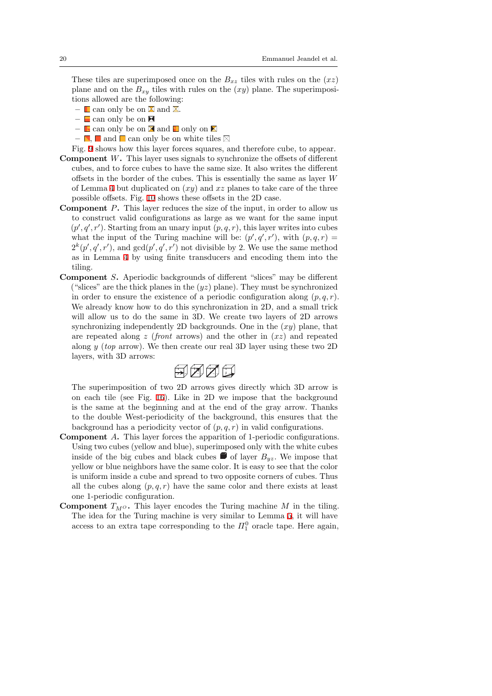These tiles are superimposed once on the *Bxz* tiles with rules on the (*xz*) plane and on the  $B_{xy}$  tiles with rules on the  $(xy)$  plane. The superimpositions allowed are the following:

- $\Box$  can only be on  $\Box$  and  $\Box$ .
- **–** can only be on
- $\blacksquare$  can only be on  $\times$  and  $\blacksquare$  only on  $\times$
- $\Box$ , and  $\Box$  can only be on white tiles  $\boxtimes$
- Fig. 9 shows how this layer forces squares, and therefore cube, to appear. **Component** *W***.** This layer uses signals to synchronize the offsets of different cubes, and to force cubes to have the same size. It also writes the different offsets in the border of the cubes. This is essentially the same as layer *W* of L[em](#page-11-0)ma 4 but duplicated on (*xy*) and *xz* planes to take care of the three possible offsets. Fig. 10 shows these offsets in the 2D case.
- **Component** *P***.** This layer reduces the size of the input, in order to allow us to construct valid configurations as large as we want for the same input  $(p', q', r')$ . [St](#page-8-0)arting from an unary input  $(p, q, r)$ , this layer writes into cubes what the input of t[he T](#page-12-0)uring machine will be:  $(p', q', r')$ , with  $(p, q, r)$  $2^{k}(p', q', r')$ , and  $gcd(p', q', r')$  not divisible by 2. We use the same method as in Lemma 4 by using finite transducers and encoding them into the tiling.
- **Component** *S***.** Aperiodic backgrounds of different "slices" may be different ("slices" are the thick planes in the (*yz*) plane). They must be synchronized in order to en[su](#page-8-0)re the existence of a periodic configuration along  $(p, q, r)$ . We already know how to do this synchronization in 2D, and a small trick will allow us to do the same in 3D. We create two layers of 2D arrows synchronizing independently 2D backgrounds. One in the (*xy*) plane, that are repeated along *z* (*front* arrows) and the other in (*xz*) and repeated along *y* (*top* arrow). We then create our real 3D layer using these two 2D layers, with 3D arrows:

司团团团

The superimposition of two 2D arrows gives directly which 3D arrow is on each tile (see Fig. 16). Like in 2D we impose that the background is the same at the beginning and at the end of the gray arrow. Thanks to the double West-periodicity of the background, this ensures that the background has a periodicity vector of  $(p, q, r)$  in valid configurations.

- **Component** *A***.** This lay[er f](#page-20-0)orces the apparition of 1-periodic configurations. Using two cubes (yellow and blue), superimposed only with the white cubes inside of the big cubes and black cubes  $\blacksquare$  of layer  $B_{yz}$ . We impose that yellow or blue neighbors have the same color. It is easy to see that the color is uniform inside a cube and spread to two opposite corners of cubes. Thus all the cubes along  $(p, q, r)$  have the same color and there exists at least one 1-periodic configuration.
- **Component**  $T_M$  $\circ$ . This layer encodes the Turing machine *M* in the tiling. The idea for the Turing machine is very similar to Lemma 5, it will have access to an extra tape corresponding to the  $\Pi_1^0$  oracle tape. Here again,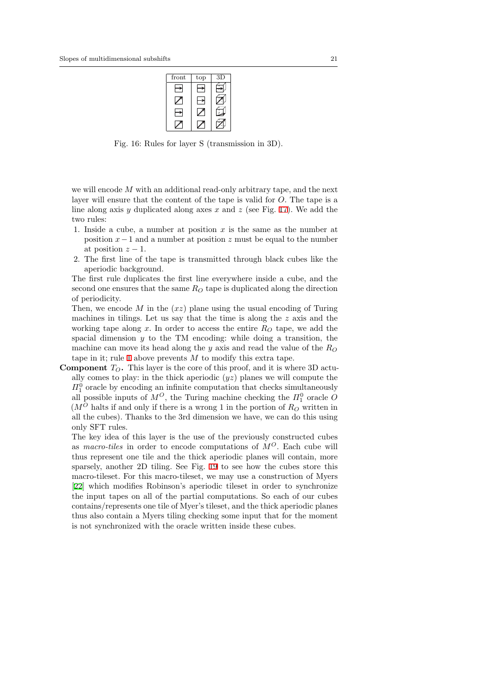| front | top | 3D |
|-------|-----|----|
|       |     |    |
|       |     |    |
|       |     |    |
|       |     |    |

<span id="page-20-0"></span>Fig. 16: Rules for layer S (transmission in 3D).

we will encode *M* with an additional read-only arbitrary tape, and the next layer will ensure that the content of the tape is valid for *O*. The tape is a line along axis *y* duplicated along axes *x* and *z* (see Fig. 17). We add the two rules:

- 1. Inside a cube, a number at position *x* is the same as the number at position *x−*1 and a number at position *z* must be equal to the number at position  $z - 1$ .
- <span id="page-20-1"></span>2. The first line of the tape is transmitted through black cubes like the aperiodic background.

The first rule duplicates the first line everywhere inside a cube, and the second one ensures that the same *R<sup>O</sup>* tape is duplicated along the direction of periodicity.

Then, we encode *M* in the (*xz*) plane using the usual encoding of Turing machines in tilings. Let us say that the time is along the *z* axis and the working tape along *x*. In order to access the entire *R<sup>O</sup>* tape, we add the spacial dimension  $y$  to the TM encoding: while doing a transition, the machine can move its head along the *y* axis and read the value of the *R<sup>O</sup>* tape in it; rule 1 above prevents *M* to modify this extra tape.

**Component** *TO***.** This layer is the core of this proof, and it is where 3D actually comes to play: in the thick aperiodic (*yz*) planes we will compute the  $\Pi^0_1$  oracle by encoding an infinite computation that checks simultaneously all possible inp[ut](#page-20-1)s of  $M^O$ , the Turing machine checking the  $\Pi_1^0$  oracle  $O$  $(M^O)$  halts if and only if there is a wrong 1 in the portion of  $R_O$  written in all the cubes). Thanks to the 3rd dimension we have, we can do this using only SFT rules.

The key idea of this layer is the use of the previously constructed cubes as *macro-tiles* in order to encode computations of *M<sup>O</sup>*. Each cube will thus represent one tile and the thick aperiodic planes will contain, more sparsely, another 2D tiling. See Fig. 19 to see how the cubes store this macro-tileset. For this macro-tileset, we may use a construction of Myers [22] which modifies Robinson's aperiodic tileset in order to synchronize the input tapes on all of the partial computations. So each of our cubes contains/represents one tile of Myer's [tiles](#page-22-0)et, and the thick aperiodic planes thus also contain a Myers tiling checking some input that for the moment i[s n](#page-24-5)ot synchronized with the oracle written inside these cubes.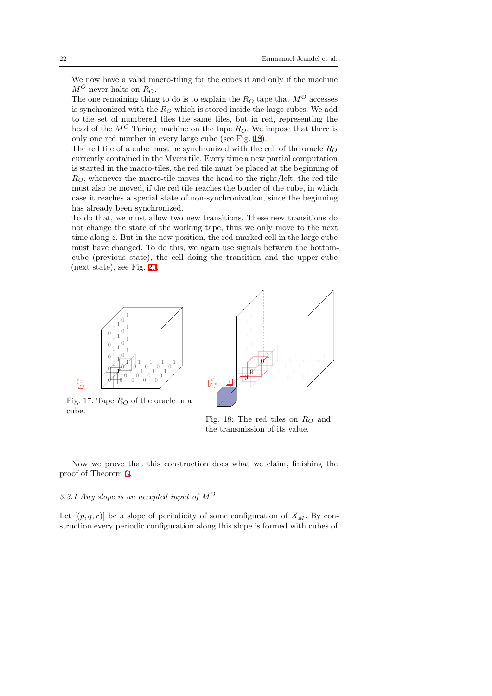We now have a valid macro-tiling for the cubes if and only if the machine  $M^O$  never halts on  $R_O$ .

The one remaining thing to do is to explain the  $R_O$  tape that  $M^O$  accesses is synchronized with the *R<sup>O</sup>* which is stored inside the large cubes. We add to the set of numbered tiles the same tiles, but in red, representing the head of the *M<sup>O</sup>* Turing machine on the tape *RO*. We impose that there is only one red number in every large cube (see Fig. 18).

The red tile of a cube must be synchronized with the cell of the oracle *R<sup>O</sup>* currently contained in the Myers tile. Every time a new partial computation is started in the macro-tiles, the red tile must be placed at the beginning of *RO*, whenever the macro-tile moves the head to th[e r](#page-21-0)ight/left, the red tile must also be moved, if the red tile reaches the border of the cube, in which case it reaches a special state of non-synchronization, since the beginning has already been synchronized.

To do that, we must allow two new transitions. These new transitions do not change the state of the working tape, thus we only move to the next time along *z*. But in the new position, the red-marked cell in the large cube must have changed. To do this, we again use signals between the bottomcube (previous state), the cell doing the transition and the upper-cube (next state), see Fig. 20.

<span id="page-21-0"></span>



Fig. 17: Tape *R<sup>O</sup>* of the oracle in a cube.

Fig. 18: The red tiles on *R<sup>O</sup>* and the transmission of its value.

Now we prove that this construction does what we claim, finishing the proof of Theorem 3.

## *3.3.1 Any slope is an accepted input of M<sup>O</sup>*

Let  $[(p, q, r)]$  be a [s](#page-2-2)lope of periodicity of some configuration of  $X_M$ . By construction every periodic configuration along this slope is formed with cubes of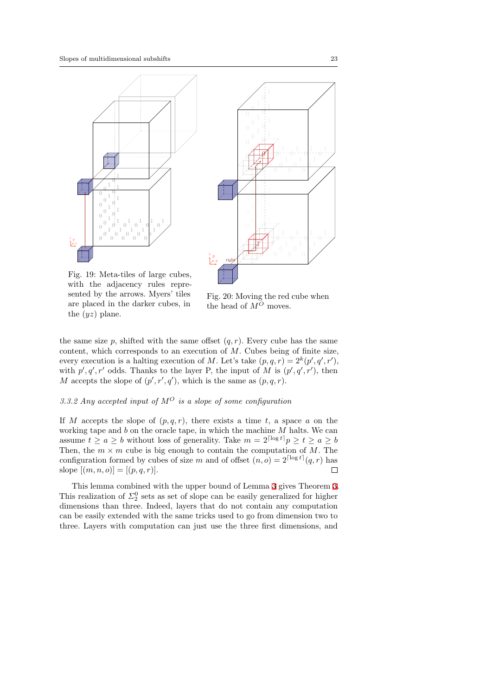<span id="page-22-0"></span>



Fig. 19: Meta-tiles of large cubes, with the adjacency rules represented by the arrows. Myers' tiles are placed in the darker cubes, in the (*yz*) plane.

Fig. 20: Moving the red cube when the head of *M<sup>O</sup>* moves.

the same size  $p$ , shifted with the same offset  $(q, r)$ . Every cube has the same content, which corresponds to an execution of *M*. Cubes being of finite size, every execution is a halting execution of *M*. Let's take  $(p, q, r) = 2^{k}(p', q', r')$ , with  $p', q', r'$  odds. Thanks to the layer P, the input of *M* is  $(p', q', r')$ , then *M* accepts the slope of  $(p', r', q')$ , which is the same as  $(p, q, r)$ .

# *3.3.2 Any accepted input of M<sup>O</sup> is a slope of some configuration*

If *M* accepts the slope of  $(p, q, r)$ , there exists a time *t*, a space *a* on the working tape and *b* on the oracle tape, in which the machine *M* halts. We can assume  $t \geq a \geq b$  without loss of generality. Take  $m = 2^{\lceil \log t \rceil} p \geq t \geq a \geq b$ Then, the  $m \times m$  cube is big enough to contain the computation of  $M$ . The configuration formed by cubes of size *m* and of offset  $(n, o) = 2^{\lceil \log t \rceil} (q, r)$  has slope  $[(m, n, o)] = [(p, q, r)].$ П

This lemma combined with the upper bound of Lemma 3 gives Theorem 3. This realization of  $\Sigma^0_2$  sets as set of slope can be easily generalized for higher dimensions than three. Indeed, layers that do not contain any computation can be easily extended with the same tricks used to go from dimension two to three. Layers with computation can just use the three fir[st](#page-8-1) dimensions, an[d](#page-2-2)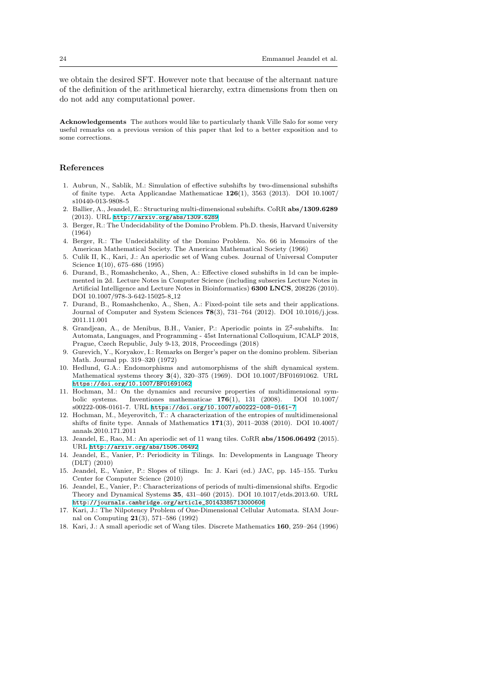we obtain the desired SFT. However note that because of the alternant nature of the definition of the arithmetical hierarchy, extra dimensions from then on do not add any computational power.

**Acknowledgements** The authors would like to particularly thank Ville Salo for some very useful remarks on a previous version of this paper that led to a better exposition and to some corrections.

## **References**

- 1. Aubrun, N., Sablik, M.: Simulation of effective subshifts by two-dimensional subshifts of finite type. Acta Applicandae Mathematicae **126**(1), 3563 (2013). DOI 10.1007/ s10440-013-9808-5
- 2. Ballier, A., Jeandel, E.: Structuring multi-dimensional subshifts. CoRR **abs/1309.6289** (2013). URL http://arxiv.org/abs/1309.6289
- <span id="page-23-13"></span>3. Berger, R.: The Undecidability of the Domino Problem. Ph.D. thesis, Harvard University (1964)
- <span id="page-23-11"></span>4. Berger, R.: The Undecidability of the Domino Problem. No. 66 in Memoirs of the American Mathematical Society. The American Mathematical Society (1966)
- 5. Culik II, K., [Kari, J.: An aperiodic set of Wang](http://arxiv.org/abs/1309.6289) cubes. Journal of Universal Computer Science **1**(10), 675–686 (1995)
- <span id="page-23-1"></span><span id="page-23-0"></span>6. Durand, B., Romashchenko, A., Shen, A.: Effective closed subshifts in 1d can be implemented in 2d. Lecture Notes in Computer Science (including subseries Lecture Notes in Artificial Intelligence and Lecture Notes in Bioinformatics) **6300 LNCS**, 208226 (2010). DOI 10.1007/978-3-642-15025-8 12
- <span id="page-23-15"></span><span id="page-23-2"></span>7. Durand, B., Romashchenko, A., Shen, A.: Fixed-point tile sets and their applications. Journal of Computer and System Sciences **78**(3), 731–764 (2012). DOI 10.1016/j.jcss. 2011.11.001
- 8. Grandjean, A., de Menibus, B.H., Vanier, P.: Aperiodic points in  $\mathbb{Z}^2$ -subshifts. In: Automata, Languages, and Programming - 45st International Colloquium, ICALP 2018, Prague, Czech Republic, July 9-13, 2018, Proceedings (2018)
- <span id="page-23-8"></span>9. Gurevich, Y., Koryakov, I.: Remarks on Berger's paper on the domino problem. Siberian Math. Journal pp. 319–320 (1972)
- <span id="page-23-9"></span>10. Hedlund, G.A.: Endomorphisms and automorphisms of the shift dynamical system. Mathematical systems theory **3**(4), 320–375 (1969). DOI 10.1007/BF01691062. URL https://doi.org/10.1007/BF01691062
- <span id="page-23-5"></span>11. Hochman, M.: On the dynamics and recursive properties of multidimensional symbolic systems. Inventiones mathematicae **176**(1), 131 (2008). DOI 10.1007/ s00222-008-0161-7. URL https://doi.org/10.1007/s00222-008-0161-7
- <span id="page-23-10"></span>12. Hochman, M., Meyerovitch, T.: A characterization of the entropies of multidimensional [shifts of finite type. Annals of Mathem](https://doi.org/10.1007/BF01691062)atics **171**(3), 2011–2038 (2010). DOI 10.4007/ annals.2010.171.2011
- <span id="page-23-14"></span>13. Jeandel, E., Rao, M.: An aperiodic set of 11 wang tiles. CoRR **abs/1506.06492** (2015). URL http://arxiv.org/[abs/1506.06492](https://doi.org/10.1007/s00222-008-0161-7)
- 14. Jeandel, E., Vanier, P.: Periodicity in Tilings. In: Developments in Language Theory (DLT) (2010)
- <span id="page-23-3"></span>15. Jeandel, E., Vanier, P.: Slopes of tilings. In: J. Kari (ed.) JAC, pp. 145–155. Turku Center for Computer Science (2010)
- <span id="page-23-12"></span>16. Jean[del, E., Vanier, P.: Characterizations](http://arxiv.org/abs/1506.06492) of periods of multi-dimensional shifts. Ergodic Theory and Dynamical Systems **35**, 431–460 (2015). DOI 10.1017/etds.2013.60. URL http://journals.cambridge.org/article\_S0143385713000606
- <span id="page-23-7"></span>17. Kari, J.: The Nilpotency Problem of One-Dimensional Cellular Automata. SIAM Journal on Computing **21**(3), 571–586 (1992)
- <span id="page-23-6"></span><span id="page-23-4"></span>18. Kari, J.: A small aperiodic set of Wang tiles. Discrete Mathematics **160**, 259–264 (1996)